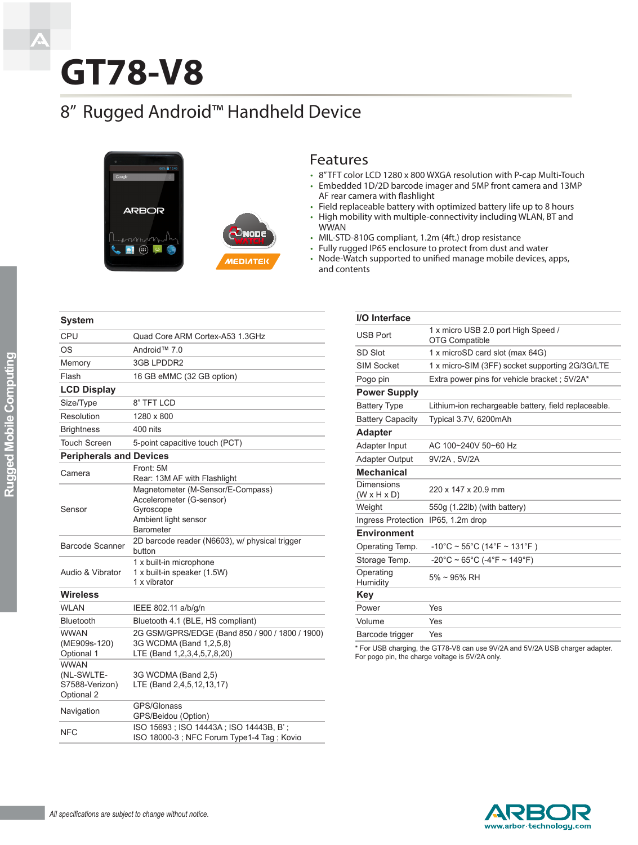# **GT78-V8**

## 8" Rugged Android™ Handheld Device



#### Features

- • 8" TFT color LCD 1280 x 800 WXGA resolution with P-cap Multi-Touch
- • Embedded 1D/2D barcode imager and 5MP front camera and 13MP AF rear camera with flashlight
- Field replaceable battery with optimized battery life up to 8 hours
- High mobility with multiple-connectivity including WLAN, BT and WWAN
- • MIL-STD-810G compliant, 1.2m (4ft.) drop resistance
- • Fully rugged IP65 enclosure to protect from dust and water
- Node-Watch supported to unified manage mobile devices, apps, and contents

| <b>CPU</b>                                                | Quad Core ARM Cortex-A53 1.3GHz                                                                                        |  |
|-----------------------------------------------------------|------------------------------------------------------------------------------------------------------------------------|--|
| OS                                                        | Android™ 7.0                                                                                                           |  |
| Memory                                                    | 3GB LPDDR2                                                                                                             |  |
| Flash                                                     | 16 GB eMMC (32 GB option)                                                                                              |  |
| <b>LCD Display</b>                                        |                                                                                                                        |  |
| Size/Type                                                 | 8" TFT LCD                                                                                                             |  |
| Resolution                                                | 1280 x 800                                                                                                             |  |
| <b>Brightness</b>                                         | 400 nits                                                                                                               |  |
| <b>Touch Screen</b>                                       | 5-point capacitive touch (PCT)                                                                                         |  |
| <b>Peripherals and Devices</b>                            |                                                                                                                        |  |
| Camera                                                    | Front: 5M<br>Rear: 13M AF with Flashlight                                                                              |  |
| Sensor                                                    | Magnetometer (M-Sensor/E-Compass)<br>Accelerometer (G-sensor)<br>Gyroscope<br>Ambient light sensor<br><b>Barometer</b> |  |
| Barcode Scanner                                           | 2D barcode reader (N6603), w/ physical trigger<br>button                                                               |  |
| Audio & Vibrator                                          | 1 x built-in microphone<br>1 x built-in speaker (1.5W)<br>1 x vibrator                                                 |  |
| <b>Wireless</b>                                           |                                                                                                                        |  |
| <b>WLAN</b>                                               | IEEE 802.11 a/b/g/n                                                                                                    |  |
| <b>Bluetooth</b>                                          | Bluetooth 4.1 (BLE, HS compliant)                                                                                      |  |
| <b>WWAN</b><br>(ME909s-120)<br>Optional 1                 | 2G GSM/GPRS/EDGE (Band 850 / 900 / 1800 / 1900)<br>3G WCDMA (Band 1,2,5,8)<br>LTE (Band 1,2,3,4,5,7,8,20)              |  |
| <b>WWAN</b><br>(NL-SWLTE-<br>S7588-Verizon)<br>Optional 2 | 3G WCDMA (Band 2,5)<br>LTE (Band 2,4,5,12,13,17)                                                                       |  |
| Navigation                                                | GPS/Glonass<br>GPS/Beidou (Option)                                                                                     |  |
| NFC                                                       | ISO 15693; ISO 14443A; ISO 14443B, B';<br>ISO 18000-3; NFC Forum Type1-4 Tag; Kovio                                    |  |

| I/O Interface                         |                                                                        |  |
|---------------------------------------|------------------------------------------------------------------------|--|
| <b>USB Port</b>                       | 1 x micro USB 2.0 port High Speed /<br><b>OTG Compatible</b>           |  |
| SD Slot                               | 1 x microSD card slot (max 64G)                                        |  |
| <b>SIM Socket</b>                     | 1 x micro-SIM (3FF) socket supporting 2G/3G/LTE                        |  |
| Pogo pin                              | Extra power pins for vehicle bracket ; 5V/2A*                          |  |
| <b>Power Supply</b>                   |                                                                        |  |
| <b>Battery Type</b>                   | Lithium-ion rechargeable battery, field replaceable.                   |  |
| <b>Battery Capacity</b>               | Typical 3.7V, 6200mAh                                                  |  |
| <b>Adapter</b>                        |                                                                        |  |
| Adapter Input                         | AC 100~240V 50~60 Hz                                                   |  |
| <b>Adapter Output</b>                 | 9V/2A, 5V/2A                                                           |  |
| <b>Mechanical</b>                     |                                                                        |  |
| Dimensions<br>$(W \times H \times D)$ | 220 x 147 x 20.9 mm                                                    |  |
| Weight                                | 550g (1.22lb) (with battery)                                           |  |
| Ingress Protection IP65, 1.2m drop    |                                                                        |  |
| <b>Environment</b>                    |                                                                        |  |
| Operating Temp.                       | $-10^{\circ}$ C ~ 55°C (14°F ~ 131°F)                                  |  |
| Storage Temp.                         | $-20^{\circ}$ C ~ 65 $^{\circ}$ C (-4 $^{\circ}$ F ~ 149 $^{\circ}$ F) |  |
| Operating<br>Humidity                 | $5\% \sim 95\%$ RH                                                     |  |
| Key                                   |                                                                        |  |
| Power                                 | Yes                                                                    |  |
| Volume                                | Yes                                                                    |  |
| Barcode trigger                       | Yes                                                                    |  |
|                                       |                                                                        |  |

\* For USB charging, the GT78-V8 can use 9V/2A and 5V/2A USB charger adapter. For pogo pin, the charge voltage is 5V/2A only.